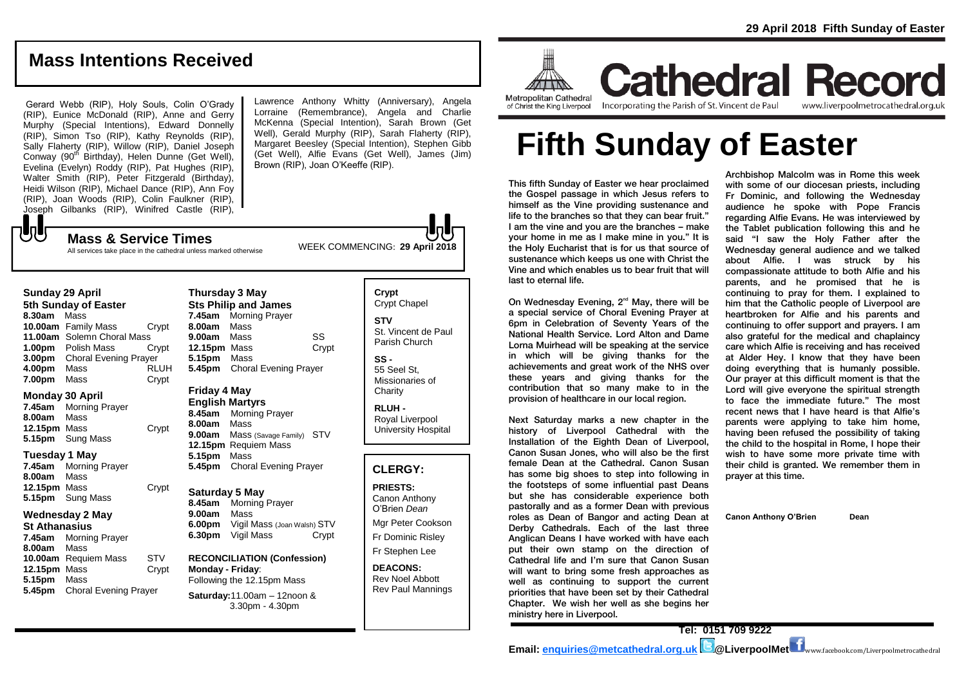## **Mass Intentions Received**

Gerard Webb (RIP), Holy Souls, Colin O'Grady (RIP), Eunice McDonald (RIP), Anne and Gerry Murphy (Special Intentions), Edward Donnelly (RIP), Simon Tso (RIP), Kathy Reynolds (RIP), Sally Flaherty (RIP), Willow (RIP), Daniel Joseph Conway (90<sup>th</sup> Birthday), Helen Dunne (Get Well), Evelina (Evelyn) Roddy (RIP), Pat Hughes (RIP), Walter Smith (RIP), Peter Fitzgerald (Birthday), Heidi Wilson (RIP), Michael Dance (RIP), Ann Foy (RIP), Joan Woods (RIP), Colin Faulkner (RIP), Joseph Gilbanks (RIP), Winifred Castle (RIP),

All services take place in the cathedral unless marked otherwise

Lawrence Anthony Whitty (Anniversary), Angela Lorraine (Remembrance), Angela and Charlie McKenna (Special Intention), Sarah Brown (Get Well), Gerald Murphy (RIP), Sarah Flaherty (RIP), Margaret Beesley (Special Intention), Stephen Gibb (Get Well), Alfie Evans (Get Well), James (Jim) Brown (RIP), Joan O'Keeffe (RIP).

WEEK COMMENCING: **29 April 2018 Mass & Service Times**

## **Sunday 29 April**

もし

**5th Sunday of Easter 8.30am** Mass **10.00am** Family Mass Crypt **11.00am** Solemn Choral Mass **1.00pm** Polish Mass Crypt **3.00pm** Choral Evening Prayer **4.00pm** Mass RLUH **7.00pm** Mass Crypt

#### **Monday 30 April**

**7.45am** Morning Prayer **8.00am** Mass **12.15pm** Mass Crypt **5.15pm** Sung Mass

#### **Tuesday 1 May**

**7.45am** Morning Prayer **8.00am** Mass **12.15pm** Mass Crypt **5.15pm** Sung Mass

## **Wednesday 2 May**

**St Athanasius 7.45am** Morning Prayer **8.00am** Mass **10.00am** Requiem Mass STV **12.15pm** Mass Crypt **5.15pm** Mass **5.45pm** Choral Evening Prayer

#### **Thursday 3 May Sts Philip and James 7.45am** Morning Prayer **8.00am** Mass **9.00am** Mass SS **12.15pm** Mass Crypt **5.15pm** Mass **5.45pm** Choral Evening Prayer

## **Friday 4 May**

**English Martyrs 8.45am** Morning Prayer **8.00am** Mass **9.00am** Mass (Savage Family) STV **12.15pm** Requiem Mass **5.15pm** Mass **5.45pm** Choral Evening Prayer

## **Saturday 5 May**

**8.45am** Morning Prayer **9.00am** Mass **6.00pm Vigil Mass (Joan Walsh) STV**<br>**6.30pm Vigil Mass Crypt 6.30pm** Vigil Mass

#### **RECONCILIATION (Confession) Monday - Friday**: Following the 12.15pm Mass

**Saturday:**11.00am – 12noon & 3.30pm - 4.30pm

## **Crypt**  Crypt Chapel **STV** St. Vincent de Paul Parish Church **SS -** 55 Seel St, Missionaries of **Charity**

**RLUH -** Royal Liverpool University Hospital

## **CLERGY:**

**PRIESTS:** Canon Anthony O'Brien *Dean* Mgr Peter Cookson Fr Dominic Risley Fr Stephen Lee

**DEACONS:** Rev Noel Abbott Rev Paul Mannings



**Cathedral Record** of Christ the King Liverpool

Incorporating the Parish of St. Vincent de Paul

www.liverpoolmetrocathedral.org.uk

# **Fifth Sunday of Easter**

This fifth Sunday of Easter we hear proclaimed the Gospel passage in which Jesus refers to himself as the Vine providing sustenance and life to the branches so that they can bear fruit." I am the vine and you are the branches – make your home in me as I make mine in you." It is the Holy Eucharist that is for us that source of sustenance which keeps us one with Christ the Vine and which enables us to bear fruit that will last to eternal life.

On Wednesday Evening, 2<sup>nd</sup> May, there will be a special service of Choral Evening Prayer at 6pm in Celebration of Seventy Years of the National Health Service. Lord Alton and Dame Lorna Muirhead will be speaking at the service in which will be giving thanks for the achievements and great work of the NHS over these years and giving thanks for the contribution that so many make to in the provision of healthcare in our local region.

Next Saturday marks a new chapter in the history of Liverpool Cathedral with the Installation of the Eighth Dean of Liverpool, Canon Susan Jones, who will also be the first female Dean at the Cathedral. Canon Susan has some big shoes to step into following in the footsteps of some influential past Deans but she has considerable experience both pastorally and as a former Dean with previous roles as Dean of Bangor and acting Dean at Derby Cathedrals. Each of the last three Anglican Deans I have worked with have each put their own stamp on the direction of Cathedral life and I'm sure that Canon Susan will want to bring some fresh approaches as well as continuing to support the current priorities that have been set by their Cathedral Chapter. We wish her well as she begins her ministry here in Liverpool.

Archbishop Malcolm was in Rome this week with some of our diocesan priests, including Fr Dominic, and following the Wednesday audience he spoke with Pope Francis regarding Alfie Evans. He was interviewed by the Tablet publication following this and he said "I saw the Holy Father after the Wednesday general audience and we talked about Alfie. I was struck by his compassionate attitude to both Alfie and his parents, and he promised that he is continuing to pray for them. I explained to him that the Catholic people of Liverpool are heartbroken for Alfie and his parents and continuing to offer support and prayers. I am also grateful for the medical and chaplaincy care which Alfie is receiving and has received at Alder Hey. I know that they have been doing everything that is humanly possible. Our prayer at this difficult moment is that the Lord will give everyone the spiritual strength to face the immediate future." The most recent news that I have heard is that Alfie's parents were applying to take him home, having been refused the possibility of taking the child to the hospital in Rome, I hope their wish to have some more private time with their child is granted. We remember them in prayer at this time.

**Canon Anthony O'Brien Dean**